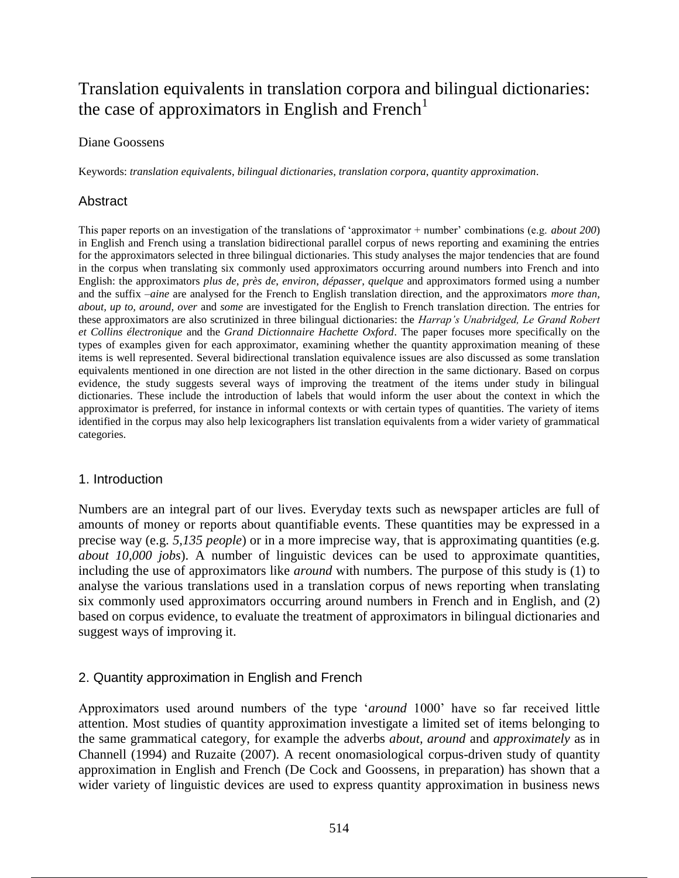# Translation equivalents in translation corpora and bilingual dictionaries: the case of approximators in English and French<sup>1</sup>

#### Diane Goossens

Keywords: *translation equivalents*, *bilingual dictionaries*, *translation corpora*, *quantity approximation*.

# **Abstract**

This paper reports on an investigation of the translations of 'approximator + number' combinations (e.g. *about 200*) in English and French using a translation bidirectional parallel corpus of news reporting and examining the entries for the approximators selected in three bilingual dictionaries. This study analyses the major tendencies that are found in the corpus when translating six commonly used approximators occurring around numbers into French and into English: the approximators *plus de*, *près de*, *environ*, *dépasser*, *quelque* and approximators formed using a number and the suffix –*aine* are analysed for the French to English translation direction, and the approximators *more than, about, up to, around, over* and *some* are investigated for the English to French translation direction. The entries for these approximators are also scrutinized in three bilingual dictionaries: the *Harrap's Unabridged, Le Grand Robert et Collins électronique* and the *Grand Dictionnaire Hachette Oxford*. The paper focuses more specifically on the types of examples given for each approximator, examining whether the quantity approximation meaning of these items is well represented. Several bidirectional translation equivalence issues are also discussed as some translation equivalents mentioned in one direction are not listed in the other direction in the same dictionary. Based on corpus evidence, the study suggests several ways of improving the treatment of the items under study in bilingual dictionaries. These include the introduction of labels that would inform the user about the context in which the approximator is preferred, for instance in informal contexts or with certain types of quantities. The variety of items identified in the corpus may also help lexicographers list translation equivalents from a wider variety of grammatical categories.

## 1. Introduction

Numbers are an integral part of our lives. Everyday texts such as newspaper articles are full of amounts of money or reports about quantifiable events. These quantities may be expressed in a precise way (e.g. *5,135 people*) or in a more imprecise way, that is approximating quantities (e.g. *about 10,000 jobs*). A number of linguistic devices can be used to approximate quantities, including the use of approximators like *around* with numbers. The purpose of this study is (1) to analyse the various translations used in a translation corpus of news reporting when translating six commonly used approximators occurring around numbers in French and in English, and (2) based on corpus evidence, to evaluate the treatment of approximators in bilingual dictionaries and suggest ways of improving it.

# 2. Quantity approximation in English and French

Approximators used around numbers of the type '*around* 1000' have so far received little attention. Most studies of quantity approximation investigate a limited set of items belonging to the same grammatical category, for example the adverbs *about, around* and *approximately* as in Channell (1994) and Ruzaite (2007). A recent onomasiological corpus-driven study of quantity approximation in English and French (De Cock and Goossens, in preparation) has shown that a wider variety of linguistic devices are used to express quantity approximation in business news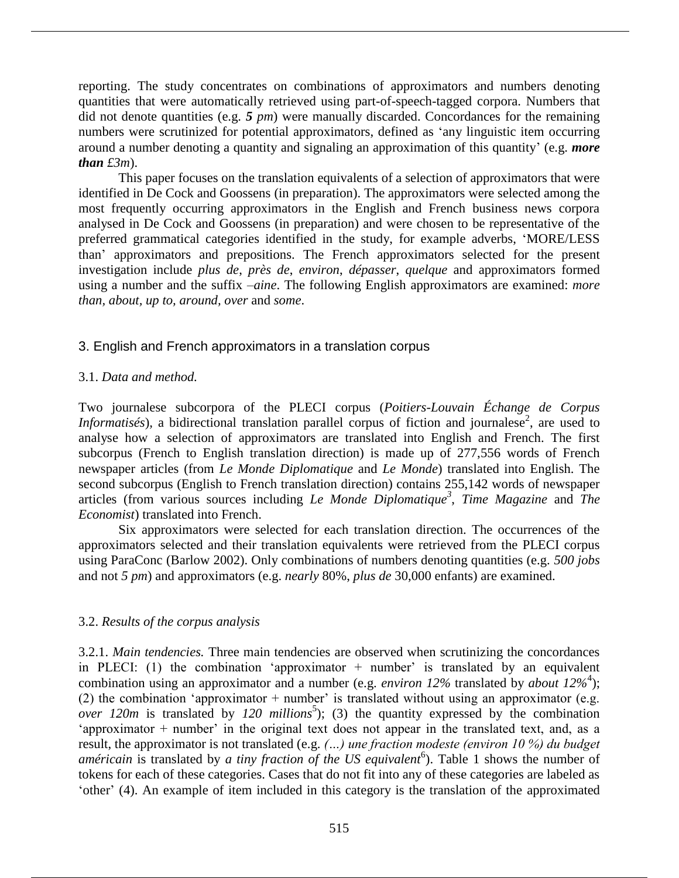reporting. The study concentrates on combinations of approximators and numbers denoting quantities that were automatically retrieved using part-of-speech-tagged corpora. Numbers that did not denote quantities (e.g. *5 pm*) were manually discarded. Concordances for the remaining numbers were scrutinized for potential approximators, defined as 'any linguistic item occurring around a number denoting a quantity and signaling an approximation of this quantity' (e.g. *more than £3m*).

This paper focuses on the translation equivalents of a selection of approximators that were identified in De Cock and Goossens (in preparation). The approximators were selected among the most frequently occurring approximators in the English and French business news corpora analysed in De Cock and Goossens (in preparation) and were chosen to be representative of the preferred grammatical categories identified in the study, for example adverbs, 'MORE/LESS than' approximators and prepositions. The French approximators selected for the present investigation include *plus de*, *près de*, *environ*, *dépasser*, *quelque* and approximators formed using a number and the suffix –*aine*. The following English approximators are examined: *more than, about, up to, around, over* and *some*.

# 3. English and French approximators in a translation corpus

## 3.1. *Data and method.*

Two journalese subcorpora of the PLECI corpus (*Poitiers-Louvain Échange de Corpus Informatisés*), a bidirectional translation parallel corpus of fiction and journalese<sup>2</sup>, are used to analyse how a selection of approximators are translated into English and French. The first subcorpus (French to English translation direction) is made up of 277,556 words of French newspaper articles (from *Le Monde Diplomatique* and *Le Monde*) translated into English. The second subcorpus (English to French translation direction) contains 255,142 words of newspaper articles (from various sources including *Le Monde Diplomatique<sup>3</sup>* , *Time Magazine* and *The Economist*) translated into French.

Six approximators were selected for each translation direction. The occurrences of the approximators selected and their translation equivalents were retrieved from the PLECI corpus using ParaConc (Barlow 2002). Only combinations of numbers denoting quantities (e.g. *500 jobs* and not *5 pm*) and approximators (e.g. *nearly* 80%, *plus de* 30,000 enfants) are examined.

## 3.2. *Results of the corpus analysis*

3.2.1. *Main tendencies.* Three main tendencies are observed when scrutinizing the concordances in PLECI: (1) the combination 'approximator  $+$  number' is translated by an equivalent combination using an approximator and a number (e.g. *environ 12%* translated by *about 12%*<sup>4</sup> ); (2) the combination 'approximator + number' is translated without using an approximator (e.g. *over 120m* is translated by  $120$  millions<sup>5</sup>); (3) the quantity expressed by the combination 'approximator + number' in the original text does not appear in the translated text, and, as a result, the approximator is not translated (e.g. *(…) une fraction modeste (environ 10 %) du budget*  américain is translated by *a tiny fraction of the US equivalent*<sup>6</sup>). Table 1 shows the number of tokens for each of these categories. Cases that do not fit into any of these categories are labeled as 'other' (4). An example of item included in this category is the translation of the approximated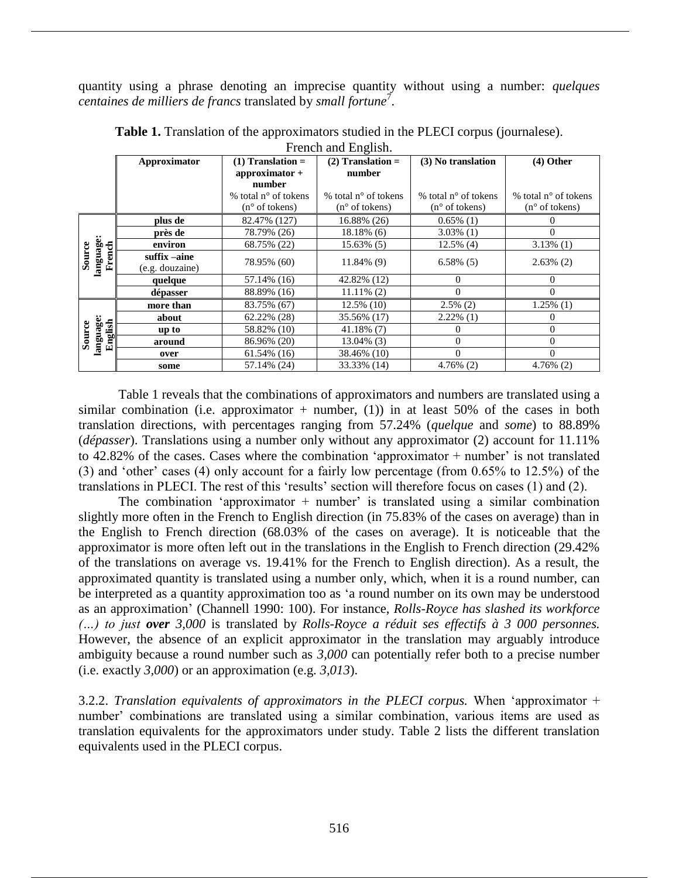quantity using a phrase denoting an imprecise quantity without using a number: *quelques centaines de milliers de francs* translated by *small fortune*<sup>7</sup> .

|                                | FICIICII and English. |                               |                               |                               |                               |  |
|--------------------------------|-----------------------|-------------------------------|-------------------------------|-------------------------------|-------------------------------|--|
|                                | Approximator          | $(1)$ Translation =           | $(2)$ Translation =           | (3) No translation            | $(4)$ Other                   |  |
|                                |                       | $approximator +$              | number                        |                               |                               |  |
|                                |                       | number                        |                               |                               |                               |  |
|                                |                       | % total $n^{\circ}$ of tokens | % total $n^{\circ}$ of tokens | % total $n^{\circ}$ of tokens | % total $n^{\circ}$ of tokens |  |
|                                |                       | $(n^{\circ}$ of tokens)       | $(n^{\circ}$ of tokens)       | $(n^{\circ}$ of tokens)       | $(n^{\circ}$ of tokens)       |  |
| language<br>Source<br>French   | plus de               | 82.47% (127)                  | 16.88% (26)                   | $0.65\%$ (1)                  | $\theta$                      |  |
|                                | près de               | 78.79% (26)                   | $18.18\%$ (6)                 | $3.03\%$ (1)                  | 0                             |  |
|                                | environ               | 68.75% (22)                   | 15.63% (5)                    | $12.5\%$ (4)                  | $3.13\%$ (1)                  |  |
|                                | suffix –aine          | 78.95% (60)                   | 11.84% (9)                    | $6.58\%$ (5)                  | $2.63\%$ (2)                  |  |
|                                | (e.g. douzaine)       |                               |                               |                               |                               |  |
|                                | quelque               | 57.14% (16)                   | 42.82% (12)                   | 0                             | $\Omega$                      |  |
|                                | dépasser              | 88.89% (16)                   | $11.11\%$ (2)                 | $\Omega$                      | $\theta$                      |  |
| language:<br>English<br>Source | more than             | 83.75% (67)                   | 12.5% (10)                    | $2.5\%$ (2)                   | $1.25\%$ (1)                  |  |
|                                | about                 | 62.22% (28)                   | 35.56% (17)                   | $2.22\%$ (1)                  | $_{0}$                        |  |
|                                | up to                 | 58.82% (10)                   | $41.18\%$ (7)                 | $\Omega$                      | $\theta$                      |  |
|                                | around                | 86.96% (20)                   | $13.04\%$ (3)                 | $\Omega$                      | $\theta$                      |  |
|                                | over                  | $61.54\%$ (16)                | 38.46% (10)                   | $\Omega$                      | $\Omega$                      |  |
|                                | some                  | 57.14% (24)                   | 33.33% (14)                   | $4.76\%$ (2)                  | $4.76\%$ (2)                  |  |

**Table 1.** Translation of the approximators studied in the PLECI corpus (journalese). French and English.

Table 1 reveals that the combinations of approximators and numbers are translated using a similar combination (i.e. approximator  $+$  number, (1)) in at least 50% of the cases in both translation directions, with percentages ranging from 57.24% (*quelque* and *some*) to 88.89% (*dépasser*). Translations using a number only without any approximator (2) account for 11.11% to 42.82% of the cases. Cases where the combination 'approximator + number' is not translated (3) and 'other' cases (4) only account for a fairly low percentage (from 0.65% to 12.5%) of the translations in PLECI. The rest of this 'results' section will therefore focus on cases (1) and (2).

The combination 'approximator  $+$  number' is translated using a similar combination slightly more often in the French to English direction (in 75.83% of the cases on average) than in the English to French direction (68.03% of the cases on average). It is noticeable that the approximator is more often left out in the translations in the English to French direction (29.42% of the translations on average vs. 19.41% for the French to English direction). As a result, the approximated quantity is translated using a number only, which, when it is a round number, can be interpreted as a quantity approximation too as 'a round number on its own may be understood as an approximation' (Channell 1990: 100). For instance, *Rolls-Royce has slashed its workforce (…) to just over 3,000* is translated by *Rolls-Royce a réduit ses effectifs à 3 000 personnes.*  However, the absence of an explicit approximator in the translation may arguably introduce ambiguity because a round number such as *3,000* can potentially refer both to a precise number (i.e. exactly *3,000*) or an approximation (e.g. *3,013*).

3.2.2. *Translation equivalents of approximators in the PLECI corpus.* When 'approximator + number' combinations are translated using a similar combination, various items are used as translation equivalents for the approximators under study. Table 2 lists the different translation equivalents used in the PLECI corpus.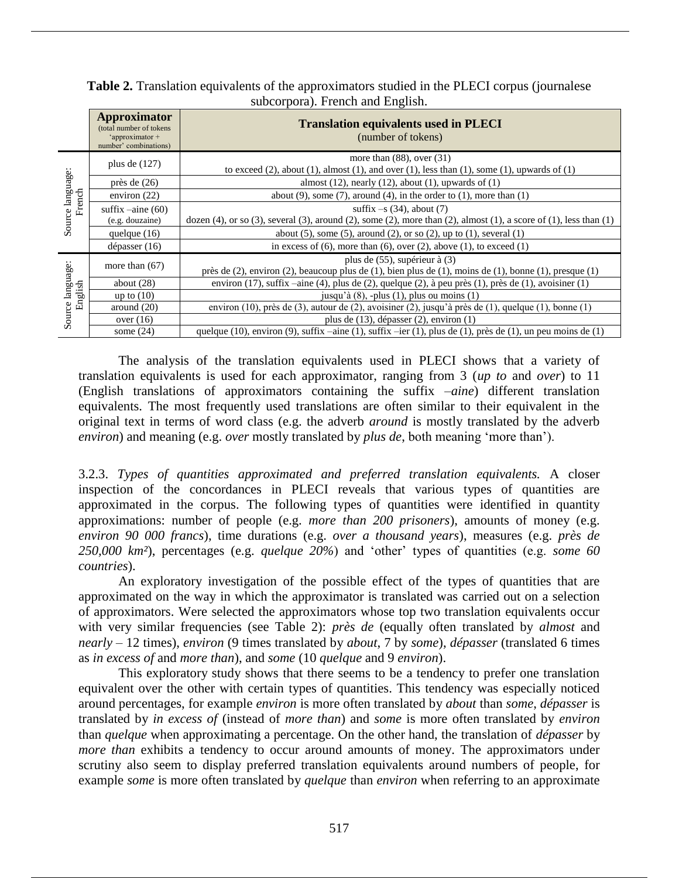|                               | <b>Approximator</b><br>(total number of tokens)<br>'approximator +<br>number' combinations) | <b>Translation equivalents used in PLECI</b><br>(number of tokens)                                                                                                         |  |  |
|-------------------------------|---------------------------------------------------------------------------------------------|----------------------------------------------------------------------------------------------------------------------------------------------------------------------------|--|--|
| Source language:<br>French    | plus de $(127)$                                                                             | more than $(88)$ , over $(31)$<br>to exceed $(2)$ , about $(1)$ , almost $(1)$ , and over $(1)$ , less than $(1)$ , some $(1)$ , upwards of $(1)$                          |  |  |
|                               | près de $(26)$                                                                              | almost $(12)$ , nearly $(12)$ , about $(1)$ , upwards of $(1)$                                                                                                             |  |  |
|                               | environ $(22)$                                                                              | about $(9)$ , some $(7)$ , around $(4)$ , in the order to $(1)$ , more than $(1)$                                                                                          |  |  |
|                               | suffix $-\text{aine} (60)$<br>(e.g. douzaine)                                               | suffix $-s(34)$ , about (7)<br>dozen $(4)$ , or so $(3)$ , several $(3)$ , around $(2)$ , some $(2)$ , more than $(2)$ , almost $(1)$ , a score of $(1)$ , less than $(1)$ |  |  |
|                               | quelque $(16)$                                                                              | about $(5)$ , some $(5)$ , around $(2)$ , or so $(2)$ , up to $(1)$ , several $(1)$                                                                                        |  |  |
|                               | $d$ épasser (16)                                                                            | in excess of $(6)$ , more than $(6)$ , over $(2)$ , above $(1)$ , to exceed $(1)$                                                                                          |  |  |
| language:<br>English<br>ource | more than $(67)$                                                                            | plus de (55), supérieur à (3)<br>près de $(2)$ , environ $(2)$ , beaucoup plus de $(1)$ , bien plus de $(1)$ , moins de $(1)$ , bonne $(1)$ , presque $(1)$                |  |  |
|                               | about $(28)$                                                                                | environ $(17)$ , suffix $-\text{aine}(4)$ , plus de $(2)$ , quelque $(2)$ , à peu près $(1)$ , près de $(1)$ , avoisiner $(1)$                                             |  |  |
|                               | up to $(10)$                                                                                | jusqu'à $(8)$ , -plus $(1)$ , plus ou moins $(1)$                                                                                                                          |  |  |
|                               | around $(20)$                                                                               | environ $(10)$ , près de $(3)$ , autour de $(2)$ , avoisiner $(2)$ , jusqu'à près de $(1)$ , quelque $(1)$ , bonne $(1)$                                                   |  |  |
|                               | over $(16)$                                                                                 | plus de $(13)$ , dépasser $(2)$ , environ $(1)$                                                                                                                            |  |  |
| Ō                             | some $(24)$                                                                                 | quelque $(10)$ , environ $(9)$ , suffix $-\text{aine } (1)$ , suffix $-\text{ier } (1)$ , plus de $(1)$ , près de $(1)$ , un peu moins de $(1)$                            |  |  |

**Table 2.** Translation equivalents of the approximators studied in the PLECI corpus (journalese subcorpora). French and English.

The analysis of the translation equivalents used in PLECI shows that a variety of translation equivalents is used for each approximator, ranging from 3 (*up to* and *over*) to 11 (English translations of approximators containing the suffix –*aine*) different translation equivalents. The most frequently used translations are often similar to their equivalent in the original text in terms of word class (e.g. the adverb *around* is mostly translated by the adverb *environ*) and meaning (e.g. *over* mostly translated by *plus de*, both meaning 'more than').

3.2.3. *Types of quantities approximated and preferred translation equivalents.* A closer inspection of the concordances in PLECI reveals that various types of quantities are approximated in the corpus. The following types of quantities were identified in quantity approximations: number of people (e.g. *more than 200 prisoners*), amounts of money (e.g. *environ 90 000 francs*), time durations (e.g. *over a thousand years*), measures (e.g. *près de 250,000 km²*), percentages (e.g. *quelque 20%*) and 'other' types of quantities (e.g. *some 60 countries*).

An exploratory investigation of the possible effect of the types of quantities that are approximated on the way in which the approximator is translated was carried out on a selection of approximators. Were selected the approximators whose top two translation equivalents occur with very similar frequencies (see Table 2): *près de* (equally often translated by *almost* and *nearly* – 12 times), *environ* (9 times translated by *about*, 7 by *some*), *dépasser* (translated 6 times as *in excess of* and *more than*), and *some* (10 *quelque* and 9 *environ*).

This exploratory study shows that there seems to be a tendency to prefer one translation equivalent over the other with certain types of quantities. This tendency was especially noticed around percentages, for example *environ* is more often translated by *about* than *some*, *dépasser* is translated by *in excess of* (instead of *more than*) and *some* is more often translated by *environ* than *quelque* when approximating a percentage. On the other hand, the translation of *dépasser* by *more than* exhibits a tendency to occur around amounts of money. The approximators under scrutiny also seem to display preferred translation equivalents around numbers of people, for example *some* is more often translated by *quelque* than *environ* when referring to an approximate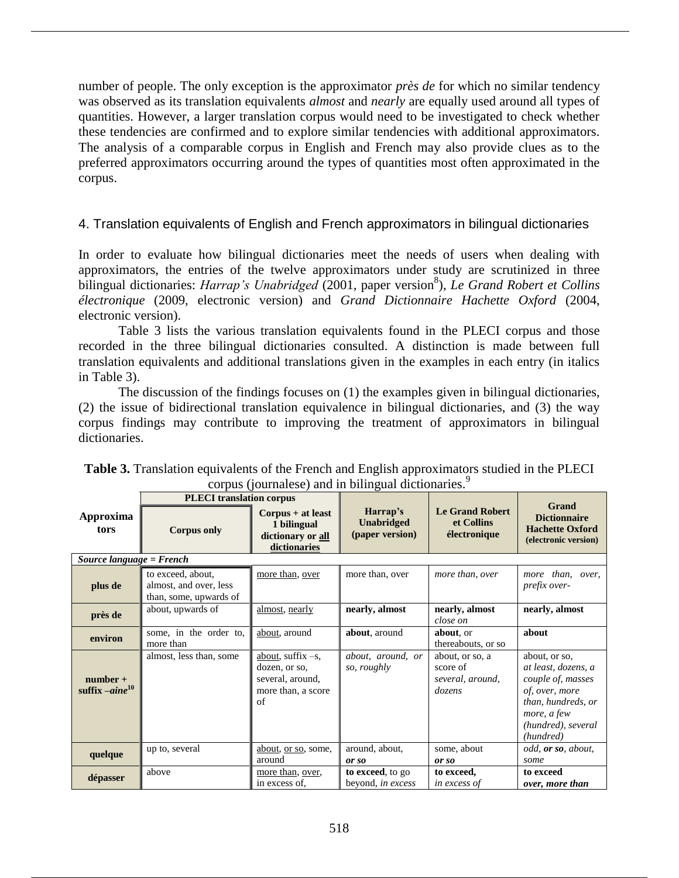number of people. The only exception is the approximator *près de* for which no similar tendency was observed as its translation equivalents *almost* and *nearly* are equally used around all types of quantities. However, a larger translation corpus would need to be investigated to check whether these tendencies are confirmed and to explore similar tendencies with additional approximators. The analysis of a comparable corpus in English and French may also provide clues as to the preferred approximators occurring around the types of quantities most often approximated in the corpus.

# 4. Translation equivalents of English and French approximators in bilingual dictionaries

In order to evaluate how bilingual dictionaries meet the needs of users when dealing with approximators, the entries of the twelve approximators under study are scrutinized in three bilingual dictionaries: *Harrap's Unabridged* (2001, paper version<sup>8</sup>), *Le Grand Robert et Collins électronique* (2009, electronic version) and *Grand Dictionnaire Hachette Oxford* (2004, electronic version).

Table 3 lists the various translation equivalents found in the PLECI corpus and those recorded in the three bilingual dictionaries consulted. A distinction is made between full translation equivalents and additional translations given in the examples in each entry (in italics in Table 3).

The discussion of the findings focuses on (1) the examples given in bilingual dictionaries, (2) the issue of bidirectional translation equivalence in bilingual dictionaries, and (3) the way corpus findings may contribute to improving the treatment of approximators in bilingual dictionaries.

|                                   | <b>PLECI</b> translation corpus                                       |                                                                                       |                                                  |                                                           |                                                                                                                                                     |
|-----------------------------------|-----------------------------------------------------------------------|---------------------------------------------------------------------------------------|--------------------------------------------------|-----------------------------------------------------------|-----------------------------------------------------------------------------------------------------------------------------------------------------|
| Approxima<br>tors                 | <b>Corpus only</b>                                                    | $Corpus + at least$<br>1 bilingual<br>dictionary or all<br>dictionaries               | Harrap's<br><b>Unabridged</b><br>(paper version) | <b>Le Grand Robert</b><br>et Collins<br>électronique      | <b>Grand</b><br><b>Dictionnaire</b><br><b>Hachette Oxford</b><br>(electronic version)                                                               |
| Source language = French          |                                                                       |                                                                                       |                                                  |                                                           |                                                                                                                                                     |
| plus de                           | to exceed, about,<br>almost, and over, less<br>than, some, upwards of | more than, over                                                                       | more than, over                                  | more than, over                                           | more than, over,<br>prefix over-                                                                                                                    |
| près de                           | about, upwards of                                                     | almost, nearly                                                                        | nearly, almost                                   | nearly, almost<br>close on                                | nearly, almost                                                                                                                                      |
| environ                           | some, in the order to,<br>more than                                   | about, around                                                                         | about, around                                    | about, or<br>thereabouts, or so                           | about                                                                                                                                               |
| $number +$<br>suffix $-aine^{10}$ | almost, less than, some                                               | about, suffix $-s$ ,<br>dozen, or so,<br>several, around,<br>more than, a score<br>of | about, around, or<br>so, roughly                 | about, or so, a<br>score of<br>several, around,<br>dozens | about, or so,<br>at least, dozens, a<br>couple of, masses<br>of, over, more<br>than, hundreds, or<br>more, a few<br>(hundred), several<br>(hundred) |
| quelque                           | up to, several                                                        | about, or so, some,<br>around                                                         | around, about,<br>or so                          | some, about<br>or so                                      | odd, or so, about,<br>some                                                                                                                          |
| dépasser                          | above                                                                 | more than, over,<br>in excess of.                                                     | to exceed, to go<br>beyond, in excess            | to exceed,<br><i>in excess of</i>                         | to exceed<br>over, more than                                                                                                                        |

| <b>Table 3.</b> Translation equivalents of the French and English approximators studied in the PLECI |
|------------------------------------------------------------------------------------------------------|
| corpus (journalese) and in bilingual dictionaries.                                                   |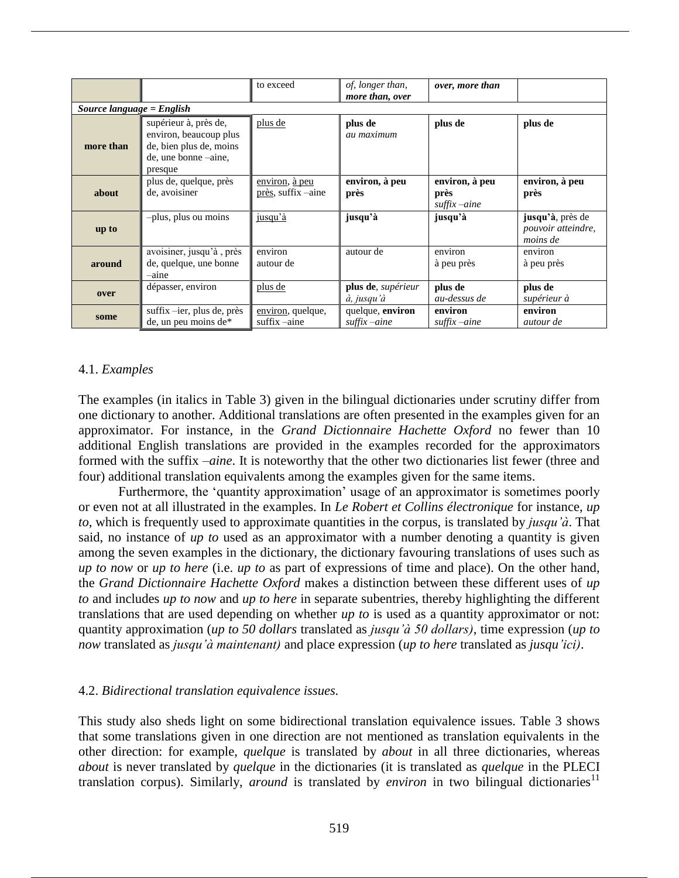|           |                                                                                                               | to exceed                            | of, longer than,<br>more than, over         | over, more than                             |                                                    |  |
|-----------|---------------------------------------------------------------------------------------------------------------|--------------------------------------|---------------------------------------------|---------------------------------------------|----------------------------------------------------|--|
|           | Source language = $English$                                                                                   |                                      |                                             |                                             |                                                    |  |
| more than | supérieur à, près de,<br>environ, beaucoup plus<br>de, bien plus de, moins<br>de, une bonne –aine,<br>presque | plus de                              | plus de<br>au maximum                       | plus de                                     | plus de                                            |  |
| about     | plus de, quelque, près<br>de, avoisiner                                                                       | environ, à peu<br>près, suffix –aine | environ, à peu<br>près                      | environ, à peu<br>près<br>$s$ uffix $-aine$ | environ, à peu<br>près                             |  |
| up to     | -plus, plus ou moins                                                                                          | jusqu'à                              | jusqu'à                                     | jusqu'à                                     | jusqu'à, près de<br>pouvoir atteindre,<br>moins de |  |
| around    | avoisiner, jusqu'à, près<br>de, quelque, une bonne<br>-aine                                                   | environ<br>autour de                 | autour de                                   | environ<br>à peu près                       | environ<br>à peu près                              |  |
| over      | dépasser, environ                                                                                             | plus de                              | plus de, supérieur<br>à, jusqu'à            | plus de<br>au-dessus de                     | plus de<br>supérieur à                             |  |
| some      | suffix -ier, plus de, près<br>de, un peu moins de*                                                            | environ, quelque,<br>suffix -aine    | quelque, environ<br>$\mathit{suffix}$ –aine | environ<br>$s$ uffix $-aine$                | environ<br><i>autour de</i>                        |  |

## 4.1. *Examples*

The examples (in italics in Table 3) given in the bilingual dictionaries under scrutiny differ from one dictionary to another. Additional translations are often presented in the examples given for an approximator. For instance, in the *Grand Dictionnaire Hachette Oxford* no fewer than 10 additional English translations are provided in the examples recorded for the approximators formed with the suffix –*aine*. It is noteworthy that the other two dictionaries list fewer (three and four) additional translation equivalents among the examples given for the same items.

Furthermore, the 'quantity approximation' usage of an approximator is sometimes poorly or even not at all illustrated in the examples. In *Le Robert et Collins électronique* for instance, *up to*, which is frequently used to approximate quantities in the corpus, is translated by *jusqu'à*. That said, no instance of *up to* used as an approximator with a number denoting a quantity is given among the seven examples in the dictionary, the dictionary favouring translations of uses such as *up to now* or *up to here* (i.e. *up to* as part of expressions of time and place). On the other hand, the *Grand Dictionnaire Hachette Oxford* makes a distinction between these different uses of *up to* and includes *up to now* and *up to here* in separate subentries, thereby highlighting the different translations that are used depending on whether *up to* is used as a quantity approximator or not: quantity approximation (*up to 50 dollars* translated as *jusqu'à 50 dollars)*, time expression (*up to now* translated as *jusqu'à maintenant)* and place expression (*up to here* translated as *jusqu'ici)*.

## 4.2. *Bidirectional translation equivalence issues.*

This study also sheds light on some bidirectional translation equivalence issues. Table 3 shows that some translations given in one direction are not mentioned as translation equivalents in the other direction: for example, *quelque* is translated by *about* in all three dictionaries, whereas *about* is never translated by *quelque* in the dictionaries (it is translated as *quelque* in the PLECI translation corpus). Similarly, *around* is translated by *environ* in two bilingual dictionaries<sup>11</sup>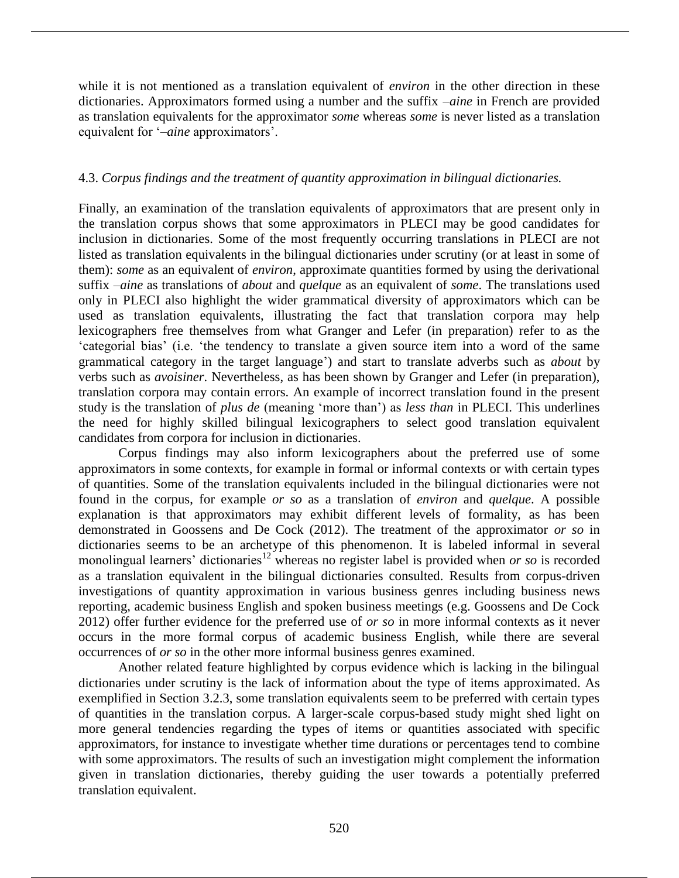while it is not mentioned as a translation equivalent of *environ* in the other direction in these dictionaries. Approximators formed using a number and the suffix –*aine* in French are provided as translation equivalents for the approximator *some* whereas *some* is never listed as a translation equivalent for '–*aine* approximators'.

## 4.3. *Corpus findings and the treatment of quantity approximation in bilingual dictionaries.*

Finally, an examination of the translation equivalents of approximators that are present only in the translation corpus shows that some approximators in PLECI may be good candidates for inclusion in dictionaries. Some of the most frequently occurring translations in PLECI are not listed as translation equivalents in the bilingual dictionaries under scrutiny (or at least in some of them): *some* as an equivalent of *environ*, approximate quantities formed by using the derivational suffix –*aine* as translations of *about* and *quelque* as an equivalent of *some*. The translations used only in PLECI also highlight the wider grammatical diversity of approximators which can be used as translation equivalents, illustrating the fact that translation corpora may help lexicographers free themselves from what Granger and Lefer (in preparation) refer to as the 'categorial bias' (i.e. 'the tendency to translate a given source item into a word of the same grammatical category in the target language') and start to translate adverbs such as *about* by verbs such as *avoisiner*. Nevertheless, as has been shown by Granger and Lefer (in preparation), translation corpora may contain errors. An example of incorrect translation found in the present study is the translation of *plus de* (meaning 'more than') as *less than* in PLECI. This underlines the need for highly skilled bilingual lexicographers to select good translation equivalent candidates from corpora for inclusion in dictionaries.

Corpus findings may also inform lexicographers about the preferred use of some approximators in some contexts, for example in formal or informal contexts or with certain types of quantities. Some of the translation equivalents included in the bilingual dictionaries were not found in the corpus, for example *or so* as a translation of *environ* and *quelque*. A possible explanation is that approximators may exhibit different levels of formality, as has been demonstrated in Goossens and De Cock (2012). The treatment of the approximator *or so* in dictionaries seems to be an archetype of this phenomenon. It is labeled informal in several monolingual learners' dictionaries<sup>12</sup> whereas no register label is provided when *or so* is recorded as a translation equivalent in the bilingual dictionaries consulted. Results from corpus-driven investigations of quantity approximation in various business genres including business news reporting, academic business English and spoken business meetings (e.g. Goossens and De Cock 2012) offer further evidence for the preferred use of *or so* in more informal contexts as it never occurs in the more formal corpus of academic business English, while there are several occurrences of *or so* in the other more informal business genres examined.

Another related feature highlighted by corpus evidence which is lacking in the bilingual dictionaries under scrutiny is the lack of information about the type of items approximated. As exemplified in Section 3.2.3, some translation equivalents seem to be preferred with certain types of quantities in the translation corpus. A larger-scale corpus-based study might shed light on more general tendencies regarding the types of items or quantities associated with specific approximators, for instance to investigate whether time durations or percentages tend to combine with some approximators. The results of such an investigation might complement the information given in translation dictionaries, thereby guiding the user towards a potentially preferred translation equivalent.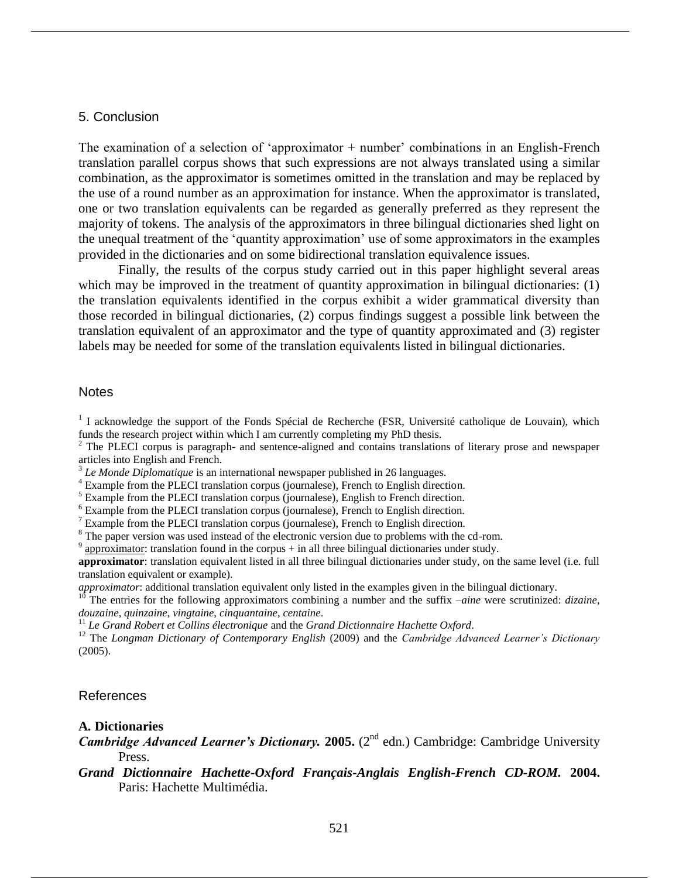#### 5. Conclusion

The examination of a selection of 'approximator + number' combinations in an English-French translation parallel corpus shows that such expressions are not always translated using a similar combination, as the approximator is sometimes omitted in the translation and may be replaced by the use of a round number as an approximation for instance. When the approximator is translated, one or two translation equivalents can be regarded as generally preferred as they represent the majority of tokens. The analysis of the approximators in three bilingual dictionaries shed light on the unequal treatment of the 'quantity approximation' use of some approximators in the examples provided in the dictionaries and on some bidirectional translation equivalence issues.

Finally, the results of the corpus study carried out in this paper highlight several areas which may be improved in the treatment of quantity approximation in bilingual dictionaries: (1) the translation equivalents identified in the corpus exhibit a wider grammatical diversity than those recorded in bilingual dictionaries, (2) corpus findings suggest a possible link between the translation equivalent of an approximator and the type of quantity approximated and (3) register labels may be needed for some of the translation equivalents listed in bilingual dictionaries.

#### **Notes**

<sup>1</sup> I acknowledge the support of the Fonds Spécial de Recherche (FSR, Université catholique de Louvain), which funds the research project within which I am currently completing my PhD thesis.

<sup>2</sup> The PLECI corpus is paragraph- and sentence-aligned and contains translations of literary prose and newspaper articles into English and French.

<sup>3</sup> Le Monde Diplomatique is an international newspaper published in 26 languages.

<sup>4</sup> Example from the PLECI translation corpus (journalese), French to English direction.

<sup>5</sup> Example from the PLECI translation corpus (journalese), English to French direction.

<sup>6</sup> Example from the PLECI translation corpus (journalese), French to English direction.

 $7$  Example from the PLECI translation corpus (journalese), French to English direction.

<sup>8</sup> The paper version was used instead of the electronic version due to problems with the cd-rom.

 $9$  approximator: translation found in the corpus + in all three bilingual dictionaries under study.

**approximator**: translation equivalent listed in all three bilingual dictionaries under study, on the same level (i.e. full translation equivalent or example).

*approximator*: additional translation equivalent only listed in the examples given in the bilingual dictionary.

<sup>10</sup> The entries for the following approximators combining a number and the suffix *–aine* were scrutinized: *dizaine*, *douzaine*, *quinzaine*, *vingtaine, cinquantaine*, *centaine*.

<sup>11</sup> *Le Grand Robert et Collins électronique* and the *Grand Dictionnaire Hachette Oxford*.

<sup>12</sup> The *Longman Dictionary of Contemporary English* (2009) and the *Cambridge Advanced Learner's Dictionary*  (2005).

## References

#### **A***.* **Dictionaries**

**Cambridge Advanced Learner's Dictionary. 2005.** (2<sup>nd</sup> edn.) Cambridge: Cambridge University Press.

## *Grand Dictionnaire Hachette-Oxford Français-Anglais English-French CD-ROM.* **2004.** Paris: Hachette Multimédia.